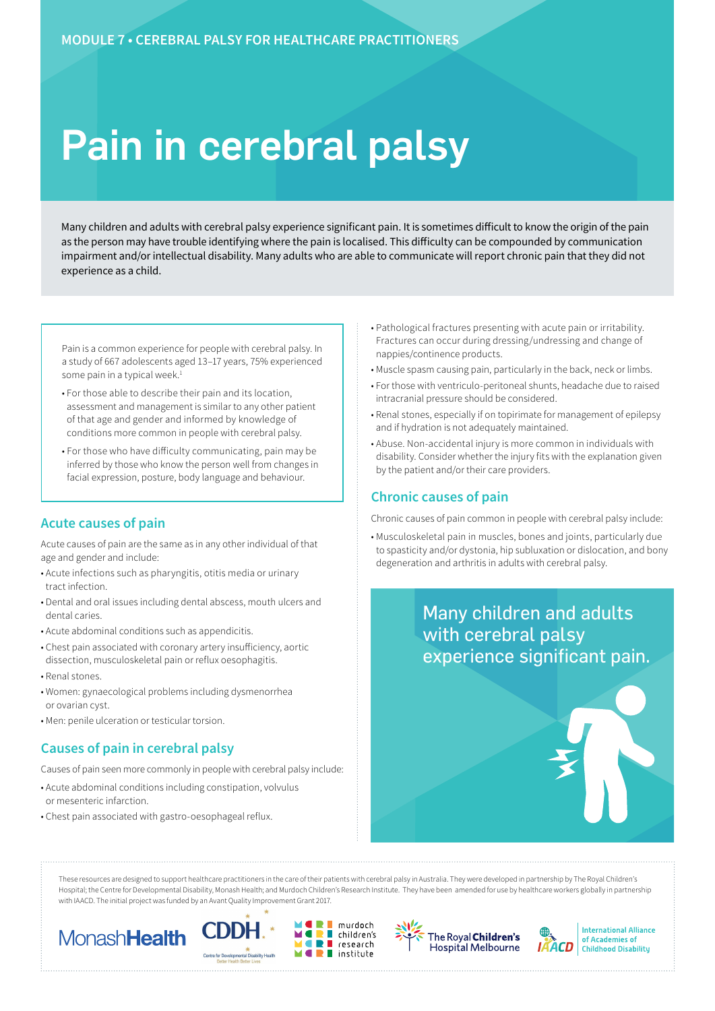# Pain in cerebral palsy

Many children and adults with cerebral palsy experience significant pain. It is sometimes difficult to know the origin of the pain as the person may have trouble identifying where the pain is localised. This difficulty can be compounded by communication impairment and/or intellectual disability. Many adults who are able to communicate will report chronic pain that they did not experience as a child.

Pain is a common experience for people with cerebral palsy. In a study of 667 adolescents aged 13–17 years, 75% experienced some pain in a typical week.<sup>1</sup>

- For those able to describe their pain and its location, assessment and management is similar to any other patient of that age and gender and informed by knowledge of conditions more common in people with cerebral palsy.
- For those who have difficulty communicating, pain may be inferred by those who know the person well from changes in facial expression, posture, body language and behaviour.

### **Acute causes of pain**

Acute causes of pain are the same as in any other individual of that age and gender and include:

- Acute infections such as pharyngitis, otitis media or urinary tract infection.
- Dental and oral issues including dental abscess, mouth ulcers and dental caries.
- Acute abdominal conditions such as appendicitis.
- Chest pain associated with coronary artery insufficiency, aortic dissection, musculoskeletal pain or reflux oesophagitis.
- Renal stones.
- Women: gynaecological problems including dysmenorrhea or ovarian cyst.
- Men: penile ulceration or testicular torsion.

## **Causes of pain in cerebral palsy**

Causes of pain seen more commonly in people with cerebral palsy include:

- Acute abdominal conditions including constipation, volvulus or mesenteric infarction.
- Chest pain associated with gastro-oesophageal reflux.
- Pathological fractures presenting with acute pain or irritability. Fractures can occur during dressing/undressing and change of nappies/continence products.
- Muscle spasm causing pain, particularly in the back, neck or limbs.
- For those with ventriculo-peritoneal shunts, headache due to raised intracranial pressure should be considered.
- Renal stones, especially if on topirimate for management of epilepsy and if hydration is not adequately maintained.
- Abuse. Non-accidental injury is more common in individuals with disability. Consider whether the injury fits with the explanation given by the patient and/or their care providers.

## **Chronic causes of pain**

Chronic causes of pain common in people with cerebral palsy include:

• Musculoskeletal pain in muscles, bones and joints, particularly due to spasticity and/or dystonia, hip subluxation or dislocation, and bony degeneration and arthritis in adults with cerebral palsy.



These resources are designed to support healthcare practitioners in the care of their patients with cerebral palsy in Australia. They were developed in partnership by The Royal Children's Hospital; the Centre for Developmental Disability, Monash Health; and Murdoch Children's Research Institute. They have been amended for use by healthcare workers globally in partnership with IAACD. The initial project was funded by an Avant Quality Improvement Grant 2017.

murdoch

research

 $\blacksquare$  institute

п

÷









**International Alliance** of Academies of **Childhood Disability**